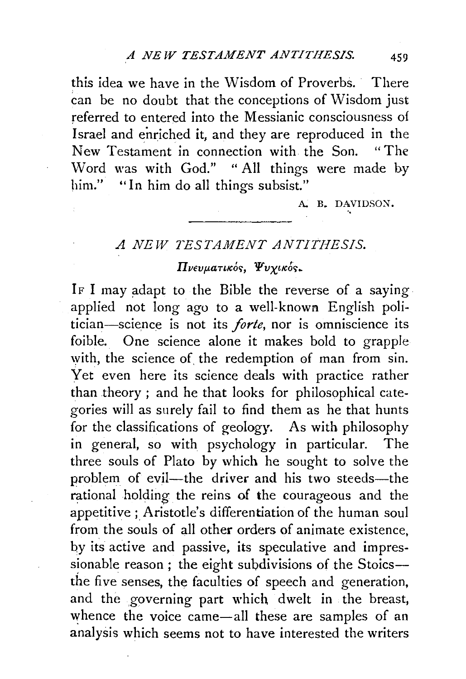this idea we have in the Wisdom of Proverbs. There can be no doubt that the conceptions of Wisdom just referred to entered into the Messianic consciousness of Israel and enriched it, and they are reproduced in the New Testament in connection with the Son. "The Word was with God." " All things were made by him." "In him do all things subsist."

A. B. DAVIDSON.

## *A NEW TESTAMENT ANTITHESIS.*

## Πνευματικός, Ψυχικός.

IF I may adapt to the Bible the reverse of a saying. applied not long ago to a well-known English politician-sciepce is not its *forte,* nor is omniscience its foible. One science alone it makes bold to grapple with, the science of the redemption of man from sin. Yet even here its science deals with practice rather than theory ; and he that looks for philosophical categories will as surely fail to find them as he that hunts for the classifications of geology. As with philosophy in general, so with psychology in particular. The three souls of Plato by which he sought to solve the problem of evil—the driver and his two steeds—the rational holding the reins of the courageous and the appetitive; Aristotle's differentiation of the human soul from the souls of all other orders of animate existence, by its active and passive, its speculative and impressionable reason; the eight subdivisions of the Stoics-the five senses, the faculties of speech and generation, and the governing part which dwelt in the breast, whence the voice came-all these are samples of an analysis which seems not to have interested the writers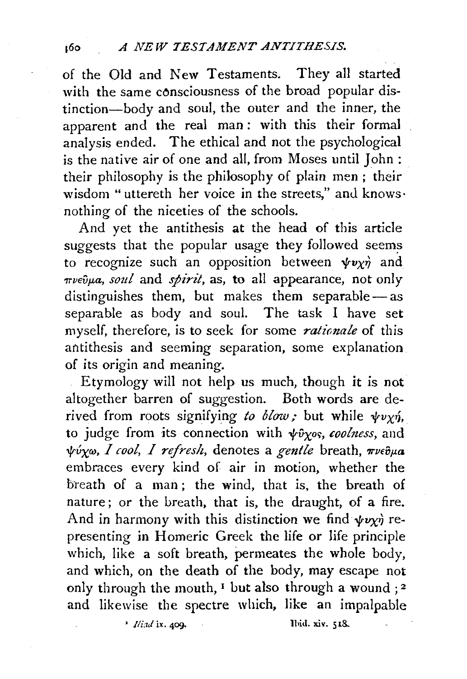of the Old and New Testaments. They all started with the same consciousness of the broad popular distinction-body and soul, the outer and the inner, the apparent and the real man: with this their formal analysis ended. The ethical and not the psychological is the native air of one and all, from Moses until John : their philosophy is the philosophy of plain men ; their wisdom "uttereth her voice in the streets," and knows· nothing of the niceties of the schools.

And yet the antithesis at the head of this article suggests that the popular usage they followed seems to recognize such an opposition between  $\psi v \chi \dot{\eta}$  and *πνεῦμα, soul* and *spirit*, as, to all appearance, not only distinguishes them, but makes them separable $-$ as separable as body and soul. The task I have set myself, therefore, is to seek for some *rationale* of this antithesis and seeming separation, some explanation of its origin and meaning.

Etymology will not help us much, though it is not altogether barren of suggestion. Both words are derived from roots signifying to blow; but while  $\psi v \chi \eta$ , to judge from its connection with  $\psi\hat{\nu}\gamma$ os, *coolness*, and *tvxw,* 1 *cool,* 1 *refresh,* denotes a *gentle* breath, *wvefJp.a*  embraces every kind of air in motion, whether the breath of a man; the wind, that is, the breath of nature; or the breath, that is, the draught, of a fire. And in harmony with this distinction we find  $\psi \nu \chi \dot{\gamma}$  representing in Homeric Greek the life or life principle which, like a soft breath, permeates the whole body, and which, on the death of the body, may escape not only through the mouth,  $\mathbf{I}$  but also through a wound ; 2 and likewise the spectre which, like an impalpable

• *Iliad* ix. 409. **Ilid. xiv.** 518.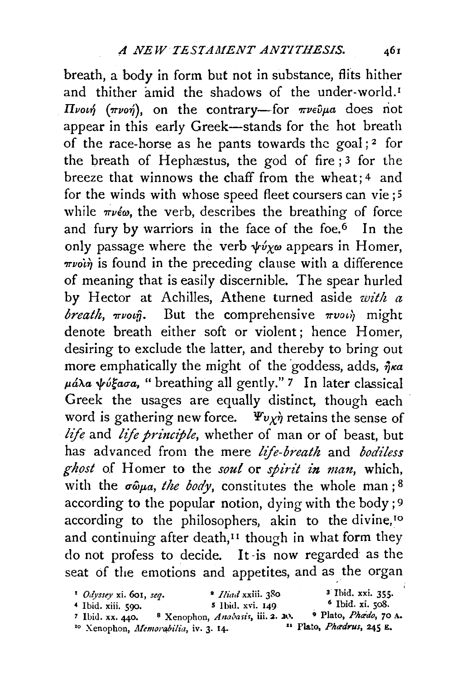breath, a body in form but not in substance, flits hither and thither amid the shadows of the under-world.<sup>I</sup> IIvo£~ *(7rvo-r}),* on the contrary-for *r.vevf'a* does riot appear in this early Greek-stands for the hot breath of the race-horse as he pants towards the goal;<sup>2</sup> for the breath of Hephæstus, the god of fire  $;3$  for the breeze that winnows the chaff from the wheat; 4 and for the winds with whose speed fleet coursers can vie; 5 while  $\pi \nu \epsilon \omega$ , the verb, describes the breathing of force and fury by warriors in the face of the foe.6 In the only passage where the verb  $\psi \psi_{\chi \omega}$  appears in Homer,  $\pi\nu\ddot{\omega}\dot{\eta}$  is found in the preceding clause with a difference of meaning that is easily discernible. The spear hurled by Hector at Achilles, Athene turned aside *with a*   $break,$   $mvo\hat{p}$ . But the comprehensive  $mvo\hat{p}$  might denote breath either soft or violent; hence Homer, desiring to exclude the latter, and thereby to bring out more emphatically the might of the goddess, adds,  $\eta_{K}a$  $\mu$ άλα ψύξασα, "breathing all gently." *7* In later classical Greek the usages are equally distinct, though each word is gathering new force.  $\Psi v \chi \dot{\eta}$  retains the sense of *life* and *life principle*, whether of man or of beast, but has advanced from the mere *life-breath* and *bodiless*  ghost of Homer to the *soul* or *spirit in man*, which, with the  $\sigma \hat{\omega} \mu a$ , the body, constitutes the whole man;  $8$ according to the popular notion, dying with the body; 9 according to the philosophers, akin to the divine,<sup>10</sup> and continuing after death,<sup>11</sup> though in what form they do not profess to decide. It -is now regarded as the seat of the emotions and appetites, and as the organ

| $\cdot$ Odyssey xi. 601, seq.    | <i>• Hiad</i> xxiii. 380                        | <sup>3</sup> Ibid. xxi. 355.                |
|----------------------------------|-------------------------------------------------|---------------------------------------------|
| $\triangleleft$ Ibid. xiii. 590. | 5 Ibid. xvi. 149                                | $\delta$ Ibid. xi. 508.                     |
| $^7$ Ibid. xx. 440.              | <sup>8</sup> Xenophon, Anabasis, iii. 2. 20.    | <sup>9</sup> Plato, <i>Phædo</i> , 70 A.    |
|                                  | <sup>10</sup> Xenophon, Memorabilia, iv. 3. 14. | $\mathbf{u}$ Plato, <i>Phædrus</i> , 245 E. |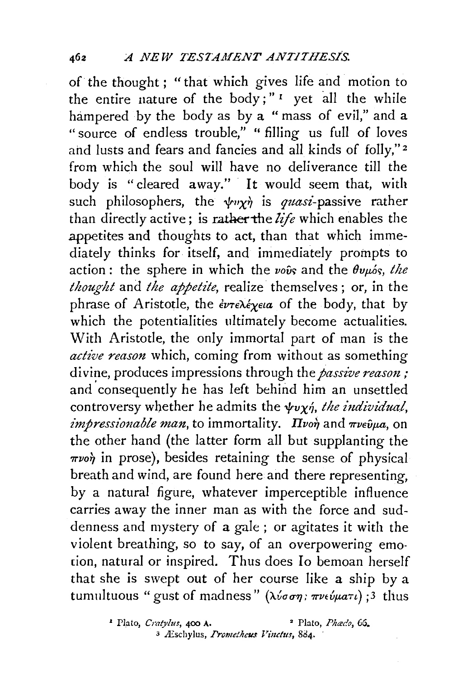of the thought ; "that which gives life and motion to the entire nature of the body;"<sup>1</sup> yet all the while hampered by the body as by a " mass of evil," and a "source of endless trouble," " filling us full of loves and lusts and fears and fancies and all kinds of folly,"<sup>2</sup> from which the soul will have no deliverance till the body is "cleared away." It would seem that, with such philosophers, the  $\psi v \chi \dot{\gamma}$  is *quasi*-passive rather than directly active; is rather the life which enables the .appetites and thoughts to act, than that which immediately thinks for. itself, and immediately prompts to action : the sphere in which the vovs and the  $\theta v \mu_{\phi} s$ , the *thought* and *the appetite,* realize themselves; or, in the phrase of Aristotle, the  $\epsilon \nu \tau \epsilon \lambda \epsilon \gamma \epsilon a$  of the body, that by which the potentialities ultimately become actualities. With Aristotle, the only immortal part of man is the *active reason* which, coming from without as something divine, produces impressions through the *passive reason*; and consequently he has left behind him an unsettled controversy whether he admits the  $\psi v \chi_0$ , the individual,  $impressionable$  man, to immortality.  $I\rightarrow I$  and  $\pi$ v $\epsilon \hat{\nu}$  $\mu a$ , on the other hand (the latter form all but supplanting the  $\pi\nu$ <sup>o</sup> in prose), besides retaining the sense of physical breath and wind, are found here and there representing, by a natural figure, whatever imperceptible influence carries away the inner man as with the force and suddenness and mystery of a gale ; or agitates it with the violent breathing, so to say, of an overpowering emo tion, natural or inspired. Thus does Io bemoan herself that she is swept out of her course like a ship by a tumultuous "gust of madness" ( $\lambda \nu \sigma \sigma \eta$ :  $\pi \nu \epsilon \nu \mu a \tau \nu$ ) ;3 thus

> • Plato, *Cratylus,* 400 A. • Plato, *Pha:co, 6G.*  <sup>3</sup> Æschylus, *Promethcus Vinctus*, 884.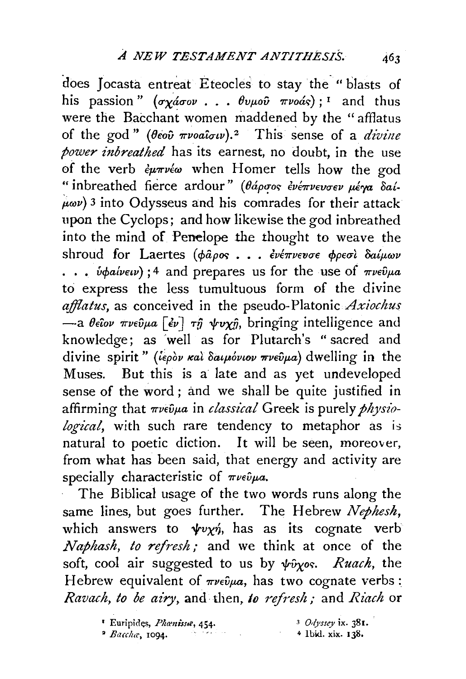does Jocasta entreat Eteocles to stay the " blasts of his passion"  $(\sigma_X \acute{a} \sigma_{0V} \ldots \theta_{0\mu_0 \hat{v}} \pi_{\nu_0 \hat{a} \hat{v}})$ ; <sup>1</sup> and thus were the Bacchant women maddened by the " afflatus of the god" *(Oiov 7rVOa'iuw). <sup>2</sup>*This sense of a *divine power inbreathed* has its earnest, no doubt, in the use of the verb  $\partial \mu \pi \nu \partial \omega$  when Homer tells how the god " inbreathed fierce ardour" (θάρσος ένέπνευσεν μέγα δαί- $\mu\omega$ ) 3 into Odysseus and his comrades for their attack upon the Cyclops; and how likewise the god inbreathed into the mind of Penelope the thought to weave the shroud for Laertes (φάρος ... ενέπνευσε φρεσί δαίμων  $\cdots$  *v* $\phi$ *aivew*);<sup>4</sup> and prepares us for the use of  $\pi$ *vev* $\theta$ *μa* to express the less tumultuous form of the divine afflatus, as conceived in the pseudo-Platonic *Axiochus*  $-$ a  $\theta$ *eΐον πνεῦμα* [  $\epsilon \nu$ ] *τῆ ψυχῇ*, bringing intelligence and knowledge; as ·well as for Plutarch's "sacred and divine spirit" (*iepov rai daspovsov wwedpa*) dwelling in the Muses. But this is a late and as yet undeveloped sense of the word; and we shali be quite justified in affirming that  $\pi \nu \epsilon \hat{\nu} \mu a$  in *classical* Greek is purely *physiological*, with such rare tendency to metaphor as is natural to poetic diction. It will be seen, moreover, from what has been said, that energy and activity are specially characteristic of  $\pi\nu\epsilon\hat{\nu}\mu a$ .

The Biblical usage of the two words runs along the same lines, but goes further. The Hebrew *Nephesh,*  which answers to  $\psi v \chi \eta$ , has as its cognate verb *Naphash, to refresh,·* and we think at once of the soft, cool air suggested to us by  $\psi \hat{\nu}_{\chi}$ os. Ruach, the Hebrew equivalent of  $\pi\nu\epsilon\hat{\nu}\mu a$ , has two cognate verbs: *Ravach, to be airy,* and then, *to refresh;* and *Riach* or

<sup>&</sup>lt;sup>*'*</sup> Euripides, *Phanissa*, 454. <sup>2</sup> Baccha, 1094. <sup>3</sup>*Od;•ssey* ix. 381. + I bid. xi.x. 138.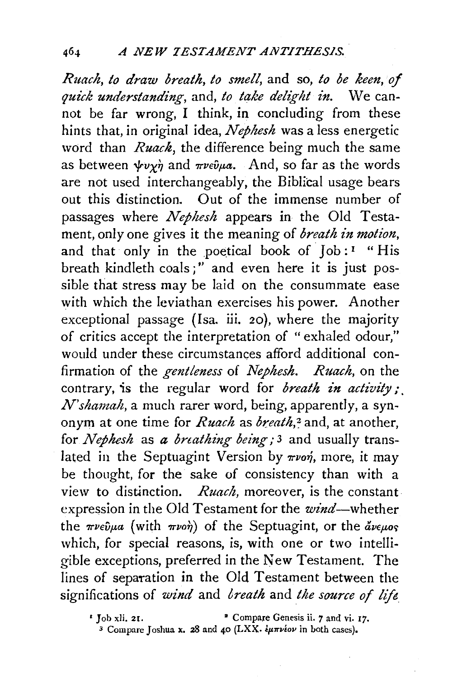*Ruach, to draw breath, to smell,* and so, *to be keen, of qut'ck understanding,* and, *to take delight in.* We cannot be far wrong, I think, in concluding from these hints that, in original idea, *Nephesh* was a less energetic word than *Ruach,* the difference being much the same as between  $\psi v \gamma \dot{\eta}$  and  $\pi v \epsilon \dot{\nu} \mu a$ . And, so far as the words are not used interchangeably, the Biblical usage bears out this distinction. Out of the immense number of passages where *Nephesh* appears in the Old Testament, only one gives it the meaning of *breath in motion,*  and that only in the poetical book of  $\text{Job}: \mathbb{I}$  "His breath kindleth coals;" and even here it is just possible that stress may be laid on the consummate ease with which the leviathan exercises his power. Another exceptional passage (Isa. iii. 20), where the majority of critics accept the interpretation of "exhaled odour," would under these circumstances afford additional confirmation of the *gentleness* of *Nephesh. Ruach,* on the contrary, is the regular word for *breath in activity;. N'shamah,* a much rarer word, being, apparently, a synonym at one time for *Ruach* as *breath*,<sup>2</sup> and, at another, for *Nephesh* as *a breathing being;* 3 and usually translated in the Septuagint Version by  $\pi\nu$ o $\eta$ , more, it may be thought, for the sake of consistency than with a view to distinction. *Ruach, moreover,* is the constant. expression in the Old Testament for the  $wind$ -whether the  $\pi \nu \epsilon \hat{\nu} \mu a$  (with  $\pi \nu \alpha \hat{\eta}$ ) of the Septuagint, or the  $\hat{a} \nu \epsilon \mu o \varsigma$ which, for special reasons, is, with one or two intelligible exceptions, preferred in the New Testament. The lines of separation in the Old Testament between the significations of *wind* and *breath* and *lhe source of lift* 

*<sup>•</sup>* Job xli. 2r. • Compare Genesis ii. *7* and vi. 17.

<sup>&</sup>lt;sup>3</sup> Compare Joshua x. 28 and 40 (LXX.  $\epsilon \mu \pi \nu \epsilon \sigma \nu$  in both cases).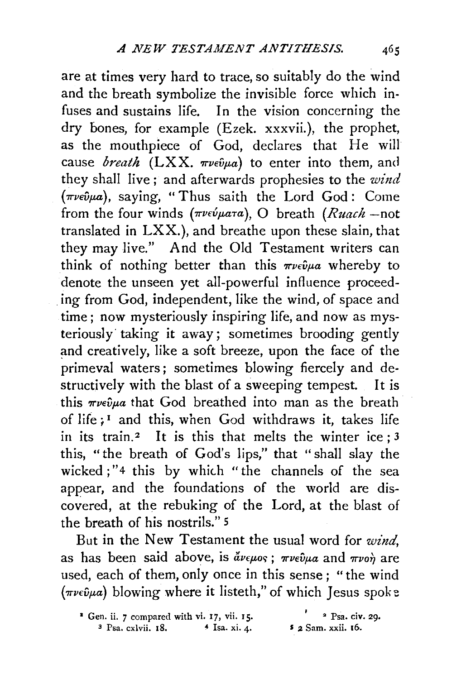are at times very hard to trace, so suitably do the wind and the breath symbolize the invisible force which infuses and sustains life. In the vision concerning the dry bones, for example (Ezek. xxxvii.), the prophet, as the mouthpiece of God, declares that He will cause *breath*  $(LXX, \pi\nu e \hat{\nu} \mu a)$  to enter into them, and they shall live ; and afterwards prophesies to the *wind*   $(\pi \nu \epsilon \hat{\nu} \mu a)$ , saying, "Thus saith the Lord God: Come from the four winds (πνεύματα), O breath (Ruach -not translated in LXX.), and breathe upon these slain, that they may live." And the Old Testament writers can think of nothing better than this  $\pi \nu \epsilon \hat{\nu} \mu a$  whereby to denote the unseen yet all-powerful influence proceed ing from God, independent, like the wind, of space and time; now mysteriously inspiring life, and now as mysteriously· taking it away; sometimes brooding gently and creatively, like a soft breeze, upon the face of the primeval waters; sometimes blowing fiercely and destructively with the blast of a sweeping tempest. It is this  $\pi\nu \in \partial u$  that God breathed into man as the breath of *li(e i* 1 and this, when God withdraws it, takes life in its train.<sup>2</sup> It is this that melts the winter ice;  $3$ this, "the breath of God's lips," that "shall slay the wicked;"4 this by which "the channels of the sea appear, and the foundations of the world are discovered, at the rebuking of the Lord, at the blast of the breath of his nostrils." 5

But in the New Testament the usual word for *wind,*  as has been said above, is  $\phi_{\mu\nu}$  *are*  $\phi_{\mu\nu}$  and  $\phi_{\mu\nu}$  are used, each of them, only once in this sense ; "the wind  $(\pi \nu \epsilon \hat{\nu} \mu a)$  blowing where it listeth," of which Jesus spoke

<sup>&</sup>lt;sup>1</sup> Gen. ii. *7* compared with vi. 17, vii. 15. <sup>•</sup> <sup>2</sup> Psa. civ. 29.  $3$  Psa. cxlvii. 18.  $4$  Isa. xi. 4.  $5$  2 Sam. xxii. 16.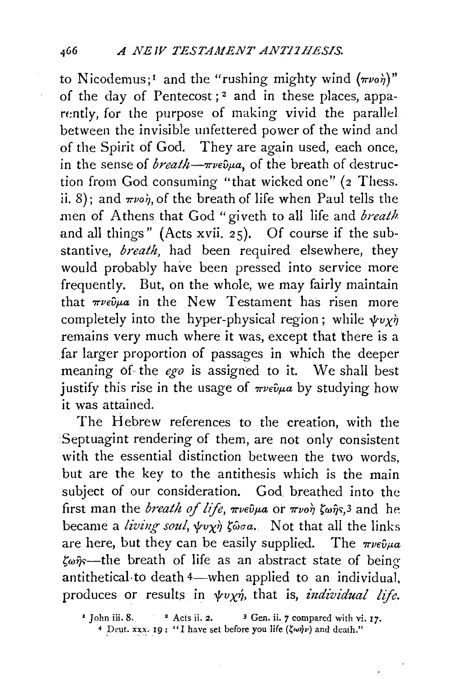to Nicodemus;<sup>1</sup> and the "rushing mighty wind  $(\pi\nu o \eta)$ " of the day of Pentecost; 2 and in these places, apparently, for the purpose of making vivid the parallel between the invisible unfettered power of the wind and of the Spirit of God. They are again used, each once, in the sense of *breath—* $\pi \nu \epsilon \hat{\nu} \mu a$ , of the breath of destruction from God consuming "that wicked one" (2 Thess. ii. 8); and  $\pi\nu$ on, of the breath of life when Paul tells the men of Athens that God "giveth to all life and *breath* and all things" (Acts xvii. 25). Of course if the substantive, *breath,* had *been* required elsewhere, they would probably have been pressed into service more frequently. But, on the whole, *we* may fairly maintain that  $\pi \nu \epsilon \hat{\nu} \mu a$  in the New Testament has risen more completely into the hyper-physical region; while  $\psi v \gamma \dot{\gamma}$ remains very much where it was, except that there is a far larger proportion of passages in which the deeper meaning 6f the *ego* is assigned to it. We shall best justify this rise in the usage of  $\pi \nu \epsilon \hat{\nu} \mu a$  by studying how it was attained.

The Hebrew references to the creation, with the Septuagint rendering of them, are not only consistent with the essential distinction between the two words, but are the key to the antithesis which is the main subject of our consideration. God. breathed into the first man the *breath of life*,  $\pi\nu\epsilon\hat{\nu}\mu a$  or  $\pi\nu\alpha\hat{\gamma}$   $\zeta\omega\hat{\eta}s$ ,<sup>3</sup> and he became a *living soul*,  $\psi \chi \gamma$   $\zeta \omega \sigma \alpha$ . Not that all the links are here, but they can be easily supplied. The  $\pi \nu \epsilon \hat{\nu} \mu a$  $\zeta_{\omega}$  = the breath of life as an abstract state of being antithetical to death 4-when applied to an individual, produces or results in  $\psi v \chi \eta$ , that is, *individual life.* 

 $'$  John iii. 8.  $'$  Acts ii. 2.  $'$  3 Gen. ii.  $\gamma$  compared with vi. 17.

*<sup>4</sup>* Deut. xxx. 19: "I have set before you life  $(\zeta \omega \eta \nu)$  and death."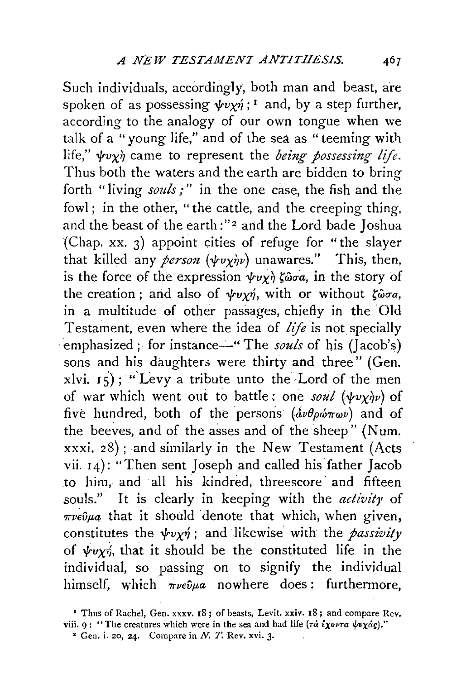Such individuals, accordingly, both man and beast, are spoken of as possessing  $\psi v \gamma \gamma$ ; <sup>1</sup> and, by a step further, according to the analogy of our own tongue when we talk of a "young life," and of the sea as "teeming with life,"  $\psi v \chi \dot{\eta}$  came to represent the *being possessing life*. Thus both the waters and the earth are bidden to bring forth "living *souls;"* in the one case, the fish and the fowl ; in the other, "the cattle, and the creeping thing, and the beast of the earth :"<sup>2</sup> and the Lord bade Joshua (Chap. xx. 3) appoint cities of refuge for "the slayer that killed any *person*  $(\psi v \chi \dot{\gamma} v)$  unawares." This, then, is the force of the expression  $\psi v \chi \dot{\gamma} \zeta \hat{\omega} \sigma a$ , in the story of the creation; and also of  $\psi v \chi \eta$ , with or without  $\zeta \hat{\omega} \sigma a$ , in a multitude of other passages, chiefly in the Old Testament, even where the idea of *life* is not specially emphasized; for instance—" The *souls* of his (Jacob's) sons and his daughters were thirty and three" (Gen.  $x|vi. 15$ ; "Levy a tribute unto the Lord of the men of war which went out to battle: one *soul* ( $\psi v \gamma \psi$ ) of five hundred, both of the persons  $(d\nu\theta\rho\omega\pi\omega\nu)$  and of the beeves, and of the asses and of the sheep" (Num. xxxi. 28) ; and similarly in the New Testament (Acts vii. r4): "Then sent Joseph and called his father Jacob to him, and all his kindred, threescore and fifteen souls." It is clearly in keeping with the *activity* of  $\pi\nu\epsilon\hat{\nu}\mu q$  that it should denote that which, when given, constitutes the  $\psi v \chi \dot{\eta}$ ; and likewise with the *passivity* of  $\psi v \gamma$ ; that it should be the constituted life in the individual, so passing on to signify the individual himself, which  $\pi\nu\epsilon\hat{\upsilon}\mu a$  nowhere does: furthermore,

<sup>&#</sup>x27; Thus of Rachel, Gen. xxxv. 18; of beasts, Levit. xxiv. 18; and compare Rev. viii. 9: "The creatures which were in the sea and had life ( $\tau d \bar{\ell} \chi \omega r \alpha \psi \chi d\chi$ )."

 $*$  Gen. i. 20, 24. Compare in N. T. Rev. xvi. 3.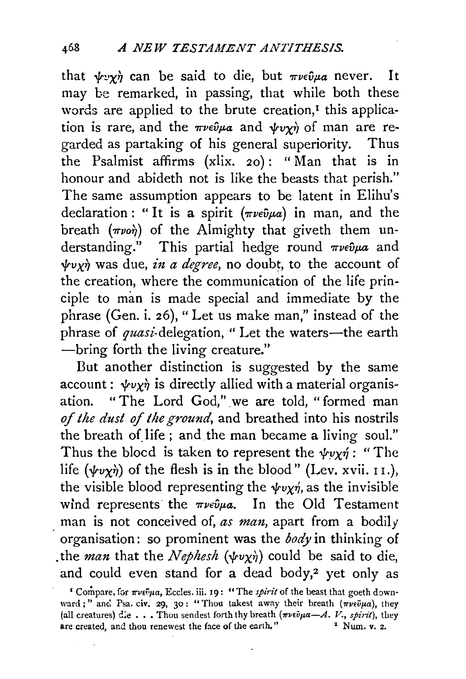that  $\psi \cdot y \dot{\eta}$  can be said to die, but  $\pi \nu \epsilon \hat{\nu} \mu a$  never. It may be remarked, in passing, that while both these words are applied to the brute creation, $<sup>I</sup>$  this applica-</sup> tion is rare, and the  $\pi \nu \epsilon \hat{\nu} \mu a$  and  $\psi \nu \chi \hat{\nu}$  of man are regarded as partaking of his general superiority. Thus the Psalmist affirms (xlix. 2o): "Man that is in honour and abideth not is like the beasts that perish." The same assumption appears to be latent in Elihu's declaration: "It is a spirit ( $\pi\nu\epsilon\hat{\nu}\mu a$ ) in man, and the breath  $(\pi\nu o\hat{\eta})$  of the Almighty that giveth them understanding." This partial hedge round  $\pi \nu \epsilon \hat{\nu} \mu a$  and  $\psi v \chi \dot{\eta}$  was due, *in a degree*, no doubt, to the account of the creation, where the communication of the life principle to man is made special and immediate by the phrase (Gen. i. 26), "Let us make man," instead of the phrase of quasi-delegation, " Let the waters-the earth -bring forth the living creature."

But another distinction is suggested by the same account:  $\psi v \chi \dot{\eta}$  is directly allied with a material organisation. "The Lord God," we are told, "formed man *of the dust of the ground,* and breathed into his nostrils the breath of life; and the man became a living soul." Thus the blocd is taken to represent the  $\psi v \gamma \gamma$ : "The life  $(\psi v \chi \dot{\eta})$  of the flesh is in the blood" (Lev. xvii. 11.), the visible blood representing the  $\psi v \chi \eta$ , as the invisible wind represents the  $\pi \nu \epsilon \hat{\nu} \mu a$ . In the Old Testament man is not conceived of, *as man,* apart from a bodily organisation: so prominent was the *body* in thinking of . the *man* that the *Nephesh*  $(\psi v \chi \eta)$  could be said to die, and could even stand for a dead body, $2$  yet only as

<sup>&</sup>lt;sup>1</sup> Compare, for  $\pi\nu\epsilon\tilde{\nu}\mu a$ , Eccles. iii. 19: "The *spirit* of the beast that goeth downward;" and Psa. civ. 29, 30: "Thou takest away their breath ( $\pi \nu \epsilon \tilde{\nu} \mu a$ ), they (all creatures) die . . . Thou sendest forth thy breath  $(\pi \nu \epsilon \tilde{\nu} \mu \alpha - A. V., spi \nu \tilde{\nu})$ , they are created, and thou renewest the face of the earth." are created, and thou renewest the face of the earth."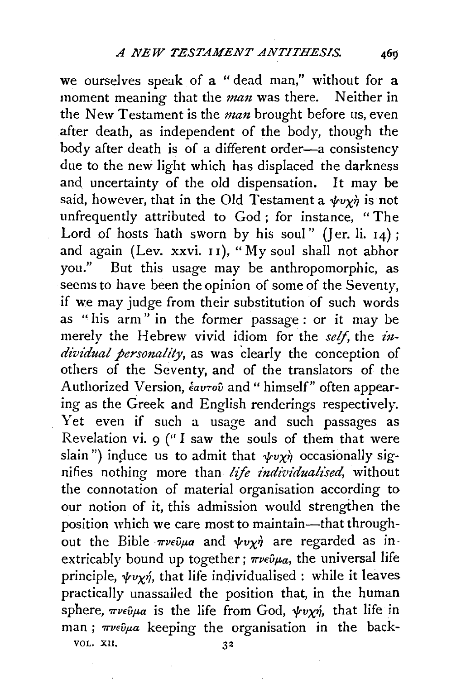we ourselves speak of a " dead man," without for a moment meaning that the *man* was there. Neither in the New Testament is the *man* brought before us, even after death, as independent of the body, though the body after death is of a different order-a consistency due to the new light which has displaced the darkness and uncertainty of the old dispensation. It may be said, however, that in the Old Testament a  $\psi v \gamma \dot{\eta}$  is not unfrequently attributed *to* God; for instance, "The Lord of hosts hath sworn by his soul" (Jer. li.  $14$ ); and again (Lev. xxvi. 11), "My soul shall not abhor you." But this usage may be anthropomorphic, as seems to have been the opinion of some of the Seventy, if we may judge from their substitution of such words as " his arm" in the former passage : or it may be merely the Hebrew vivid idiom for the *self*, the *individual personality,* as was clearly the conception of others of the Seventy, and of the translators of the Authorized Version, *€au-rov* and " himself" often appearing as the Greek and English renderings respectively. Yet even if such a usage and such passages as Revelation vi. 9 (" I saw the souls of them that were slain") induce us to admit that  $\psi v \gamma \dot{\gamma}$  occasionally signifies nothing more than *life individualised,* without the connotation of material organisation according to our notion of it, this admission would strengthen the position which we care most to maintain-that throughout the Bible  $\pi\nu\epsilon\partial\mu a$  and  $\psi\nu\chi\dot{\eta}$  are regarded as inextricably bound up together;  $\pi\nu\epsilon\hat{\nu}\mu a$ , the universal life principle,  $\psi v_{\chi}\gamma$ , that life individualised : while it leaves practically unassailed the position that, in the human sphere,  $\pi \nu \epsilon \hat{\nu} \mu a$  is the life from God,  $\psi \nu \chi \hat{\eta}$ , that life in man;  $\pi \nu \epsilon \partial \mu a$  keeping the organisation in the back-

VOL. XII.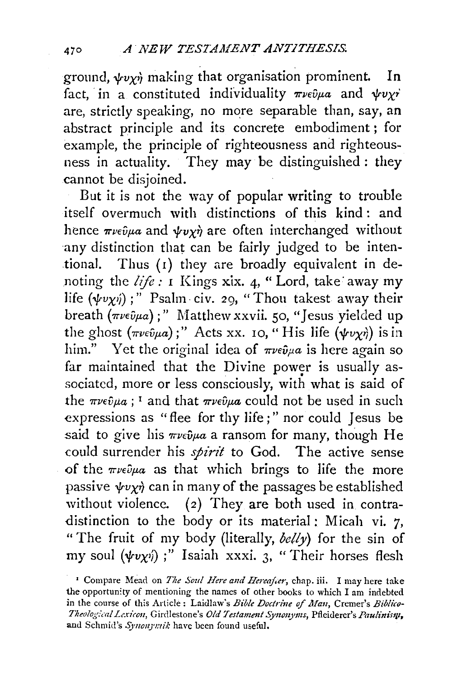ground,  $\psi v \gamma$  making that organisation prominent. In fact, in a constituted individuality  $\pi \nu \epsilon \hat{v} \mu a$  and  $\psi \nu \chi \gamma$ are, strictly speaking, no more separable than, say, an abstract principle and its concrete embodiment; for example, the principle of righteousness and righteousness in actuality. They may be distinguished : they cannot be disjoined.

But it is not the way of popular writing to trouble itself overmuch with distinctions of this kind : and hence  $\pi \nu \epsilon \hat{\nu} \mu a$  and  $\psi \nu \gamma \hat{\nu}$  are often interchanged without any distinction that can be fairly judged to be intentional. Thus (I) they are broadly equivalent in denoting the  $life$ : I Kings xix. 4, "Lord, take away my life  $(\psi v \chi \psi)$ ;" Psalm·civ. 29, "Thou takest away their breath  $(\pi \nu \epsilon \hat{\nu} \mu a)$ ;" Matthew xxvii. 50, "Jesus yielded up the ghost  $(\pi \nu \epsilon \hat{\nu} \mu a)$ ;" Acts xx. 10, "His life  $(\psi \nu \chi \hat{\nu})$  is in him." Yet the original idea of  $\pi \nu \epsilon \hat{\nu} \mu a$  is here again so far maintained that the Divine power is usually associated, more or less consciously, with what is said of the  $\pi \nu \epsilon \hat{v} \mu a$ ; <sup>1</sup> and that  $\pi \nu \epsilon \hat{v} \mu a$  could not be used in such expressions as "flee for thy life;" nor could Jesus be said to give his  $\pi \nu \epsilon \hat{\nu} \mu a$  a ransom for many, though He could surrender his *spirit* to God. The active sense of the  $\pi\nu\epsilon\partial\mu a$  as that which brings to life the more passive  $\psi v \chi \dot{\eta}$  can in many of the passages be established without violence. (2) They are both used in contradistinction to the body or its material : Micah vi. 7, "The fruit of my body (literally,  $\frac{\partial e}{\partial y}$  for the sin of my soul  $(\psi v \gamma)$ ;" Isaiah xxxi. 3, "Their horses flesh

<sup>&</sup>lt;sup>1</sup> Compare Mead on *The Soul Here and Hereafter*, chap. iii. I may here take the opportunity of mentioning the names of other books to which I am indebted in the course of this Article: Laidlaw's *Bible Doctrine of Man*, Cremer's *Biblico-Theological Lexicon, Girdlestone's Old Testament Synonyms, Pfleiderer's Paulinism,* and Schmid's Synonymik have been found useful.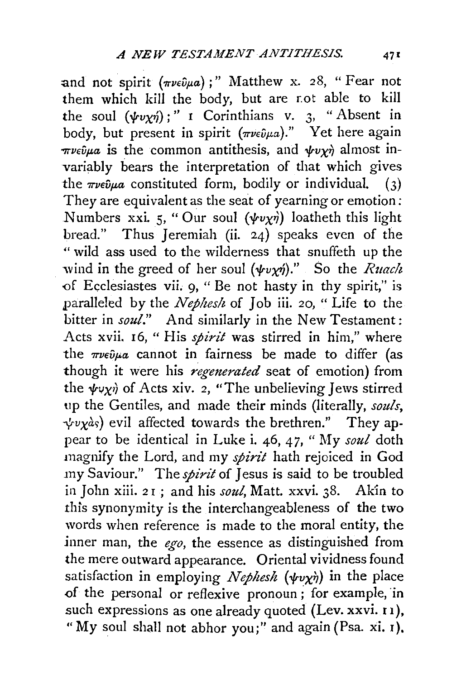and not spirit  $(\pi \nu \epsilon \hat{\nu} \mu a)$ ;" Matthew x. 28, "Fear not them which kill the body, but are r.ot able to kill the soul  $(\psi v \chi \eta)$ ;" I Corinthians v. 3, "Absent in body, but present in spirit  $(\pi \nu \epsilon \hat{\nu} \mu a)$ ." Yet here again  $\pi \nu \epsilon \hat{v} \mu a$  is the common antithesis, and  $\psi \nu \chi \hat{\eta}$  almost invariably bears the interpretation of that which gives the  $\pi \nu \epsilon \hat{\nu} \mu a$  constituted form, bodily or individual. (3) They are equivalent as the seat of yearning or emotion: Numbers xxi. 5, "Our soul  $(\psi v \chi \eta)$  loatheth this light bread." Thus Jeremiah (ii. 24) speaks even of the "wild ass used to the wilderness that snuffeth up the wind in the greed of her soul  $(\psi v \chi \eta)$ ." So the *Ruach* of Ecclesiastes vii. 9, " Be not hasty in thy spirit," is paralleled by the *Nephes!t* of Job iii. *20,* " Life to the bitter in *soul*." And similarly in the New Testament: Acts xvii. I6, " His *spirit* was stirred in him," where the  $\pi\nu\epsilon\hat{\nu}\mu a$  cannot in fairness be made to differ (as though it were his *regenerated* seat of emotion) from the  $\psi \psi \psi$  of Acts xiv. 2, "The unbelieving Jews stirred up the Gentiles, and made their minds (literally, *souls,*   $\psi v \chi$ as) evil affected towards the brethren." They appear to be identical in Luke i. 46, 47, "My *soul* doth magnify the Lord, and my *spirit* hath rejoiced in God my Saviour." The *spirit* of Jesus is said to be troubled in John xiii. 21; and his *soul*, Matt. xxvi. 38. Akin to this synonymity is the interchangeableness of the two words when reference is made to the moral entity, the inner man, the *ego*, the essence as distinguished from the mere outward appearance. Oriental vividness found satisfaction in employing *Nephesh* ( $\psi v \chi \dot{\eta}$ ) in the place of the personal or reflexive pronoun; for example, in such expressions as one already quoted (Lev. xxvi. 11), "My soul shall not abhor you;" and again (Psa. xi. r).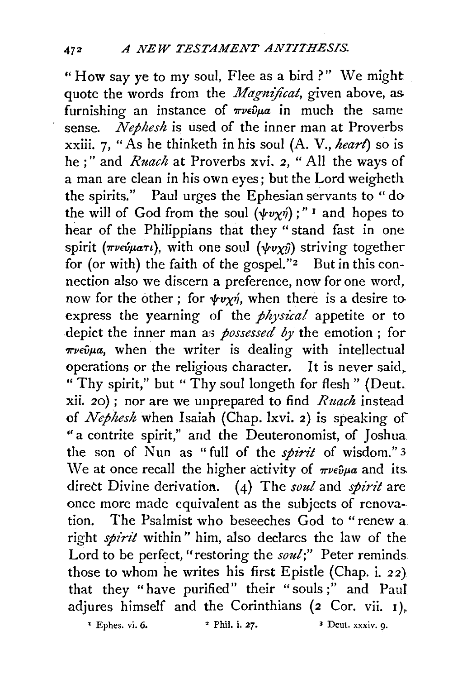"How say ye to my soul, Flee as a bird?" We might quote the words from the *Magnificat*, given above, as furnishing an instance of  $\pi\nu\epsilon\hat{\nu}\mu\alpha$  in much the same sense. *Nephesh* is used of the inner man at Proverbs xxiii. 7, "As he thinketh in his soul (A. V., *heart)* so is he ; " and *Ruach* at Proverbs xvi. *2,* " All the ways of a man are clean in his own eyes; but the Lord weigheth the spirits." Paul urges the Ephesian servants to "do the will of God from the soul  $(\psi v \chi \eta)$ ;" I and hopes to hear of the Philippians that they "stand fast in one spirit ( $\pi \nu \in \omega \mu a\tau \nu$ ), with one soul ( $\psi \nu \chi \hat{\nu}$ ) striving together for (or with) the faith of the gospel."<sup>2</sup> But in this connection also we discern a preference, now for one word, now for the other; for  $\psi v \chi \gamma$ , when there is a desire to express the yearning of the *physical* appetite or to depict the inner man as *possessed by* the emotion; for- $\pi\nu\epsilon\hat{\nu}\mu a$ , when the writer is dealing with intellectual operations or the religious character. It is never said, " Thy spirit," but " Thy soul longeth for flesh " (Deut. xii. 20) ; nor are we unprepared to find *Ruach* instead of *Nephesh* when Isaiah (Chap. lxvi. 2) is speaking of "a contrite spirit," and the Deuteronomist, of Joshua the son of Nun as "full of the *spirit* of wisdom." 3 We at once recall the higher activity of  $\pi \nu \epsilon \hat{\nu} \mu a$  and its direct Divine derivation. (4) The *soul* and *spirit* are once more made equivalent as the subjects of renovation. The Psalmist who beseeches God to "renew a right *spirit* within" him, also declares the law of the Lord to be perfect, "restoring the *soul*;" Peter reminds those to whom he writes his first Epistle (Chap. i. 22} that they "have purified" their "souls;" and Paul adjures himself and the Corinthians (2 Cor. vii. 1 *).*   $\overline{P}$  Ephes. vi. 6.  $\overline{P}$  Phil. i. 27.  $\overline{P}$  Phil. i. 27.  $\overline{P}$  Phil. i. 27.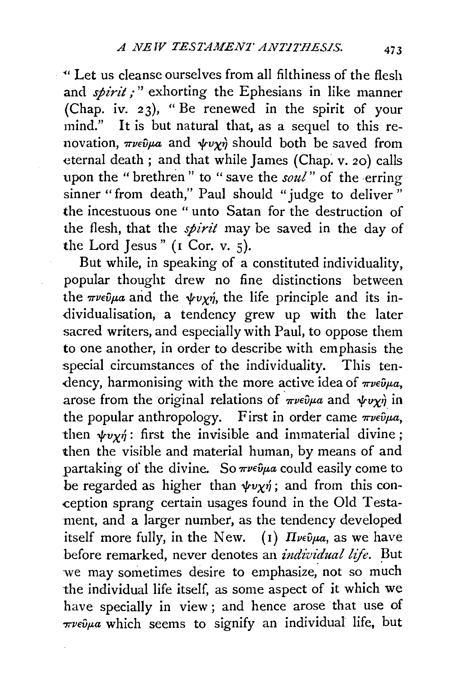~· L€t us cleanse ourselves from all filthiness of the flesh and *spirit* ;" exhorting the Ephesians in like manner (Chap. iv. 23), "Be renewed in the spirit of your mind." It is but natural that, as a sequel to this renovation,  $\pi \nu \epsilon \hat{\nu} \mu a$  and  $\psi \nu \chi \hat{\nu}$  should both be saved from eternal death; and that while James (Chap. v. 20) calls upon the " brethren " to "save the *soul"* of the erring sinner "from death," Paul should "judge to deliver" the incestuous one " unto Satan for the destruction of the flesh, that the *spirit* may be saved in the day of the Lord Jesus" (I Cor. v. 5).

But while, in speaking of a constituted individuality, popular thought drew no fine distinctions between the  $\pi \nu \epsilon \hat{\nu} \mu a$  and the  $\psi \nu \gamma \hat{\eta}$ , the life principle and its individualisation, a tendency grew up with the later sacred writers, and especially with Paul, to oppose them to one another, in order to describe with emphasis the special circumstances of the individuality. This tendency, harmonising with the more active idea of  $\pi \nu \epsilon \hat{\nu} \mu a$ , arose from the original relations of  $\pi \nu \epsilon \hat{\nu} \mu a$  and  $\psi \nu \chi \hat{\eta}$  in the popular anthropology. First in order came  $\pi \nu \epsilon \hat{v} \mu a$ , then  $\psi v \gamma$  : first the invisible and immaterial divine; then the visible and material human, by means of and partaking of the divine. So  $\pi \nu \epsilon \hat{\nu} \mu a$  could easily come to be regarded as higher than  $\psi v \chi \dot{\eta}$ ; and from this conception sprang certain usages found in the Old Testament, and a larger number, as the tendency developed itself more fully, in the New. (1)  $\pi_{\nu \in \hat{\nu} \mu a}$ , as we have before remarked, never denotes an *individual life*. But we may sometimes desire to emphasize; not so much the individual life itself, as some aspect of it which we have specially in view; and hence arose that use of *'7TVEvf.La* which seems to signify an individual life, but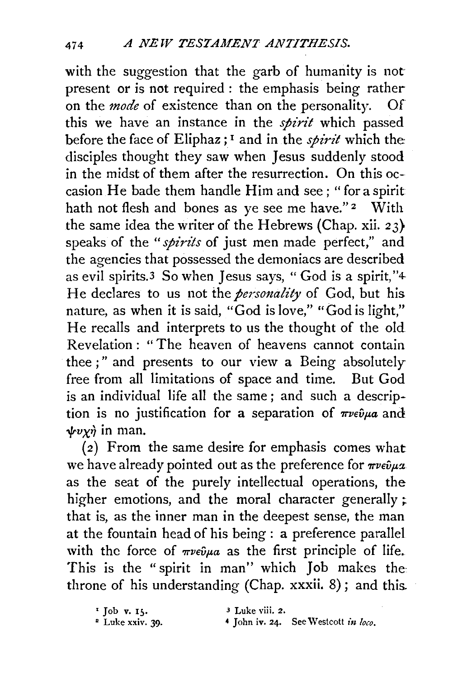with the suggestion that the garb of humanity is not present or is not required : the emphasis being rather on the *mode* of existence than on the personality. Of this we have an instance in the *spirit* which passed before the face of Eliphaz ; 1 and in the *spirit* which the disciples thought they saw when Jesus suddenly stood in the midst of them after the resurrection. On this occasion He bade them handle Him and see; "for a spirit hath not flesh and bones as ye see me have."<sup>2</sup> With the same idea the writer of the Hebrews (Chap. xii. 23} speaks of the *"spirits* of just men made perfect," and the agencies that possessed the demoniacs are described as evil spirits.3 So when Jesus says, " God is a spirit, "4- He declares to us not the *personality* of God, but his nature, as when it is said, "God is love," "God is light," He recalls and interprets to us the thought of the old Revelation: "The heaven of heavens cannot contain thee ; " and presents to our view a Being absolutely free from all limitations of space and time. But God is an individual life all the same; and such a description is no justification for a separation of  $\pi \nu \epsilon \hat{\nu} \mu a$  and  $\psi v \chi \dot{\eta}$  in man.

(2) From the same desire for emphasis comes what we have already pointed out as the preference for  $\pi \nu \epsilon \hat{\nu} \mu x$ . as the seat of the purely intellectual operations, the higher emotions, and the moral character generally; that is, as the inner man in the deepest sense, the man at the fountain head of his being : a preference parallel with the force of  $\pi \nu \epsilon \hat{\nu} \mu a$  as the first principle of life. This is the "spirit in man" which Job makes the throne of his understanding (Chap. xxxii. 8) ; and this.

<sup>1</sup> Job v. 15. <sup>3</sup> Luke viii. 2.<br><sup>2</sup> Luke xxiv. 39. <sup>4</sup> John iv. 24. <sup>4</sup> John iv. 24. See Westcott in loco.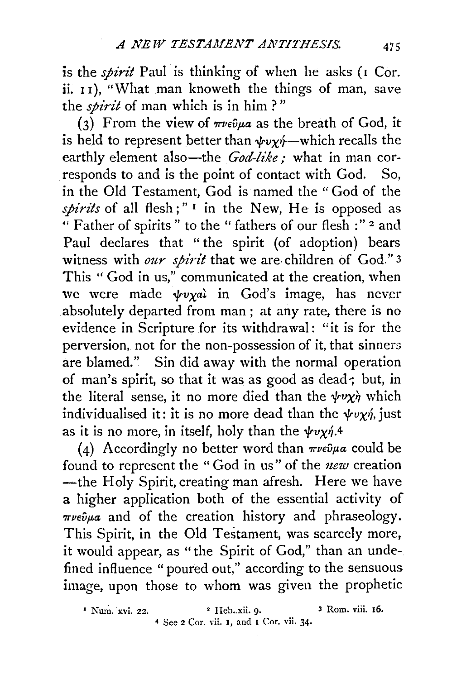is the *spirit* Paul is thinking of when he asks (1 Cor. ii. II), "What man knoweth the things of man, save the *spirit* of man which is in him?"

(3) From the view of  $\pi \nu \epsilon \hat{\nu} \mu a$  as the breath of God, it is held to represent better than  $\psi \psi \psi$  --which recalls the earthly element also-the *God-like*; what in man corresponds to and is the point of contact with God. So, in the Old Testament, God is named the "God of the *spirits* of all flesh;"<sup>1</sup> in the New, He is opposed as " Father of spirits " to the " fathers of our flesh :" 2 and Paul declares that "the spirit (of adoption) bears witness with *our spirit* that we are children of God."<sup>3</sup> This "God in us," communicated at the creation, when we were made  $\psi v \chi a\lambda$  in God's image, has never absolutely departed from man ; at any rate, there is no evidence in Scripture for its withdrawal: "it is for the perversion, not for the non-possession of it, that sinners are blamed." Sin did away with the normal operation of man's spirit, so that it was as good as dead; but, in the literal sense, it no more died than the  $\psi v \chi \dot{\gamma}$  which individualised it: it is no more dead than the  $\psi \nu \chi \eta$ , just as it is no more, in itself, holy than the  $\psi v \chi \eta$ .4

(4) Accordingly no better word than  $\pi \nu \epsilon \hat{\nu} \mu a$  could be found to represent the "God in us" of the *new* creation -the Holy Spirit, creating man afresh. Here we have a higher application both of the essential activity of *Trvevpa* and of the creation history and phraseology. This Spirit, in the Old Testament, was scarcely more, it would appear, as "the Spirit of God," than an undefined influence "poured out," according to the sensuous image, upon those to whom was given the prophetic

<sup>&</sup>lt;sup>1</sup> Num. xvi. 22. <sup>2</sup> Heb .. xii. 9. <sup>3</sup> Rom. viii. 16. 4 See 2 Cor. vii. 1, and I Cor. vii. 34·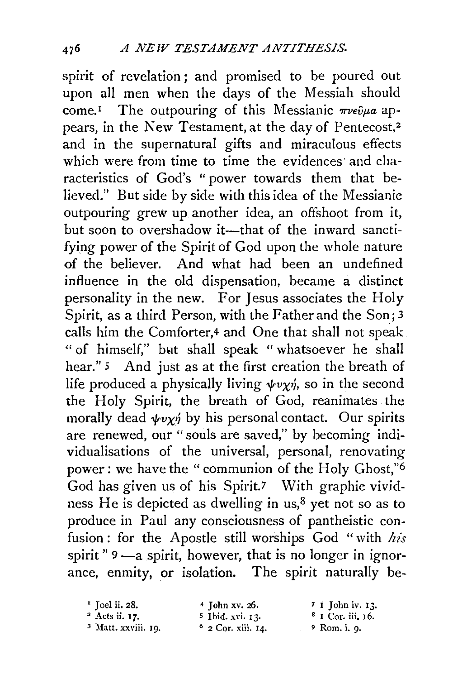spirit of revelation ; and promised to be poured out upon all men when the days of the Messiah should come.<sup>1</sup> The outpouring of this Messianic  $\pi \nu \epsilon \hat{\nu} \mu a$  appears, in the New Testament, at the day of Pentecost,<sup>2</sup> and in the supernatural gifts and miraculous effects which were from time to time the evidences and characteristics of God's " power towards them that believed." But side by side with this idea of the Messianic outpouring grew up another idea, an offshoot from it, but soon to overshadow it-that of the inward sanctifying power of the Spirit of God upon the whole nature of the believer. And what had been an undefined influence in the old dispensation, became a distinct personality in the new. For Jesus associates the Holy Spirit, as a third Person, with the Father and the Son; 3 calls him the Comforter,4 and One that shall not speak " of himself," bwt shall speak " whatsoever he shall hear." <sup>5</sup> And just as at the first creation the breath of life produced a physically living  $\psi \psi \chi \psi$ , so in the second the Holy Spirit, the breath of God, reanimates the morally dead  $\psi v \chi \psi$  by his personal contact. Our spirits are renewed, our "souls are saved," by becoming individualisations of the universal, personal, renovating power: we have the "communion of the Holy Ghost,"6 God has given us of his Spirit.7 With graphic vividness He is depicted as dwelling in us, $8$  yet not so as to produce in Paul any consciousness of pantheistic confusion : for the Apostle still worships God " with *his*  spirit " $9 - a$  spirit, however, that is no longer in ignorance, enmity, or isolation. The spirit naturally be-

| $\cdot$ Toel ii. 28.           | $4$ John xv. 26.            | $7 \t{I}$ John iv. $13$ . |
|--------------------------------|-----------------------------|---------------------------|
| $2$ Acts ii. 17.               | <sup>5</sup> Ibid. xvi. 13. | $8$ I Cor. iii. 16.       |
| <sup>3</sup> Matt. xxviii. 19. | $6$ 2 Cor. xiii. 14.        | $\degree$ Rom. i. 9.      |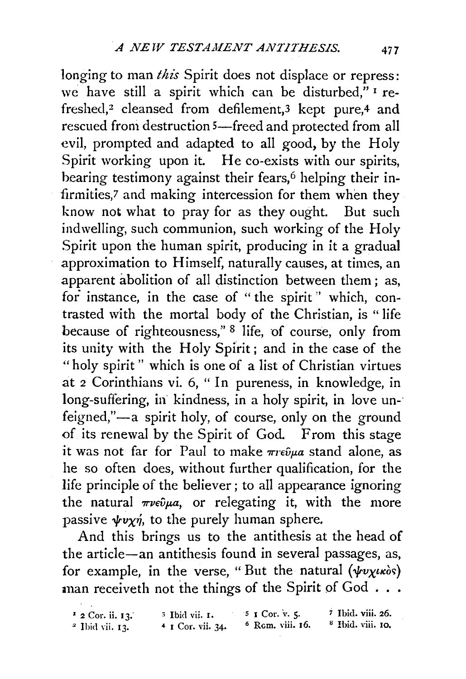longing *to* man *this* Spirit does not displace or repress: we have still a spirit which can be disturbed," I refreshed,<sup>2</sup> cleansed from defilement,<sup>3</sup> kept pure,<sup>4</sup> and rescued from destruction 5-freed and protected from all evil, prompted and adapted to all good, by the Holy Spirit working upon it. He co-exists with our spirits, bearing testimony against their fears,<sup>6</sup> helping their infirmities,7 and making intercession for them when they know not what *to* pray for as they ought. But such indwelling, such communion, such working of the Holy Spirit upon the human spirit, producing in it a gradual approximation to Himself, naturally causes, at times, an apparent abolition of all distinction between them ; as, for instance, in the case of " the spirit " which, contrasted with the mortal body of the Christian, is "life because of righteousness," 8 life, of course, only from its unity with the Holy Spirit; and in the case of the "holy spirit " which is one of a list of Christian virtues at 2 Corinthians vi. 6, " In pureness, in knowledge, in long-suffering, in kindness, in a holy spirit, in love unfeigned,"-a spirit holy, of course, only on the ground of its renewal by the Spirit of God. From this stage it was not far for Paul to make  $\pi r \epsilon \hat{\nu} \mu a$  stand alone, as he so often does, without further qualification, for the life principle of the believer ; to all appearance ignoring the natural  $\pi \nu \epsilon \hat{\nu} \mu a$ , or relegating it, with the more passive  $\psi v \chi \eta$ , to the purely human sphere.

And this brings us to the antithesis at the head of the article-an antithesis found in several passages, as, for example, in the verse, "But the natural  $(\psi v \chi \iota \kappa)$ man receiveth not the things of the Spirit of God ...

 $12$  Cor. ii. 13. *<sup>2</sup>*!bid vii. I3. 3 I bid vii. I. *s* I Cor. v. 5· *7* Ibid. viii. 26.  $4$  I Cor. vii. 34.  $6$  Rcm. viii. 16.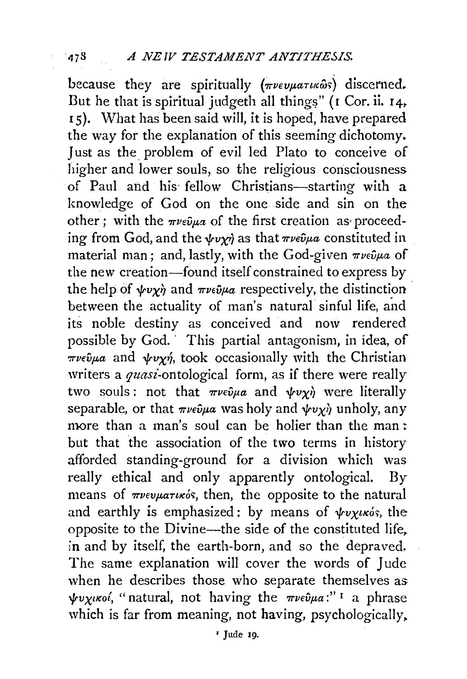because they are spiritually ( $\pi\nu\epsilon\nu\mu\alpha\tau\mu\omega\hat{\omega}s$ ) discerned. But he that is spiritual judgeth all things" (I Cor. ii. 14, 15). What has been said will, it is hoped, have prepared the way for the explanation of this seeming dichotomy. Just as the problem of evil led Plato to conceive of higher and lower souls, so the religious consciousness of Paul and his fellow Christians-starting with a knowledge of God on the one side and sin on the other; with the  $\pi \nu \epsilon \hat{\nu} \mu \alpha$  of the first creation as proceeding from God, and the  $\psi \chi \gamma$  as that  $\pi \nu \epsilon \hat{\nu} \mu a$  constituted in material man; and, lastly, with the God-given  $\pi \nu \epsilon \hat{\nu} \mu a$  of the new creation-found itself constrained to express by the help of  $\psi \psi \chi \dot{\eta}$  and  $\pi \nu \epsilon \hat{\psi} \mu a$  respectively, the distinction between the actuality of man's natural sinful life, and its noble destiny as conceived and now rendered possible by God. · This partial antagonism, in idea, of  $\pi\nu \in \hat{v}$  $\mu a$  and  $\psi \nu \gamma \hat{\eta}$ , took occasionally with the Christian writers a *quasi-ontological* form, as if there were really two souls: not that  $\pi \nu \epsilon \hat{\nu} \mu a$  and  $\psi \nu \gamma \hat{\nu}$  were literally separable, or that  $\pi \nu \epsilon \hat{\nu} \mu \alpha$  was holy and  $\psi \nu \gamma \hat{\nu}$  unholy, any more than a man's soul can be holier than the man: but that the association of the two terms in history afforded standing-ground for a division which was really ethical and only apparently ontological. By means of  $\pi\nu\epsilon\nu\mu\alpha\tau\nu\kappa\delta s$ , then, the opposite to the natural and earthly is emphasized: by means of  $\psi$ vx*u*xós, the opposite to the Divine-the side of the constituted life. in and by itself, the earth-born, and so the depraved. The same explanation will cover the words of Jude when he describes those who separate themselves as *tvx<sub>tKo</sub>,* "natural, not having the πνεῦμα:" i a phrase which is far from meaning, not having, psychologically,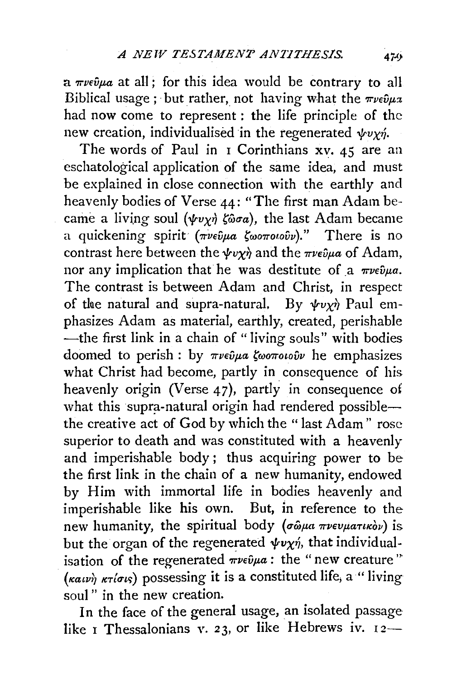$a$   $\pi\nu\epsilon\hat{\nu}\mu a$  at all: for this idea would be contrary to all Biblical usage; but rather, not having what the  $\pi \nu \epsilon \hat{\nu} \mu x$ had now come to represent : the life principle of the new creation, individualised in the regenerated  $\psi v \gamma \gamma$ .

The words of Paul in  $\bar{I}$  Corinthians xv. 45 are an eschatological application of the same idea, and must be explained in close connection with the earthly and heavenly bodies of Verse 44: "The first man Adam became a living soul ( $\psi v \gamma \gamma$   $\zeta \omega \sigma a$ ), the last Adam became a quickening spirit (πνεύμα ζωοποιούν)." There is no contrast here between the  $\psi v \gamma \dot{\gamma}$  and the  $\pi \nu \epsilon \hat{\nu} \mu a$  of Adam, nor any implication that he was destitute of a  $\pi \nu \epsilon \hat{\nu} \mu a$ . The contrast is between Adam and Christ, in respect of the natural and supra-natural. By  $\psi v \gamma \hat{\gamma}$  Paul emphasizes Adam as material, earthly, created, perishable -the first link in a chain of "living souls" with bodies doomed to perish : by πνεύμα ζωοποιούν he emphasizes what Christ had become, partly in consequence of his heavenly origin (Verse 47), partly in consequence of what this supra-natural origin had rendered possiblethe creative act of God by which the "last Adam" rose superior to death and was constituted with a heavenly and imperishable body ; thus acquiring power to be the first link in the chain of a new humanity, endowed by Him with immortal life in bodies heavenly and imperishable like his own. But, in reference to the new humanity, the spiritual body (σώμα πνευματικόν) is but the organ of the regenerated  $\psi v \chi \dot{\eta}$ , that individualisation of the regenerated  $\pi\nu\epsilon\hat{\nu}\mu a$ : the "new creature"  $(\kappa a \nu)$   $\kappa \tau (\sigma \nu)$  possessing it is a constituted life, a "living" soul" in the new creation.

In the face of the general usage, an isolated passage like I Thessalonians v. 23, or like Hebrews iv.  $12-$